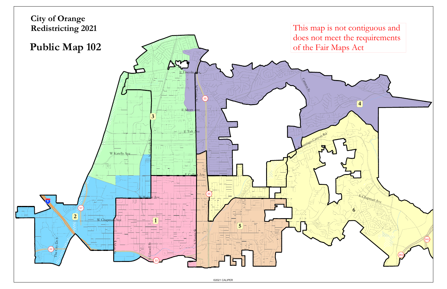